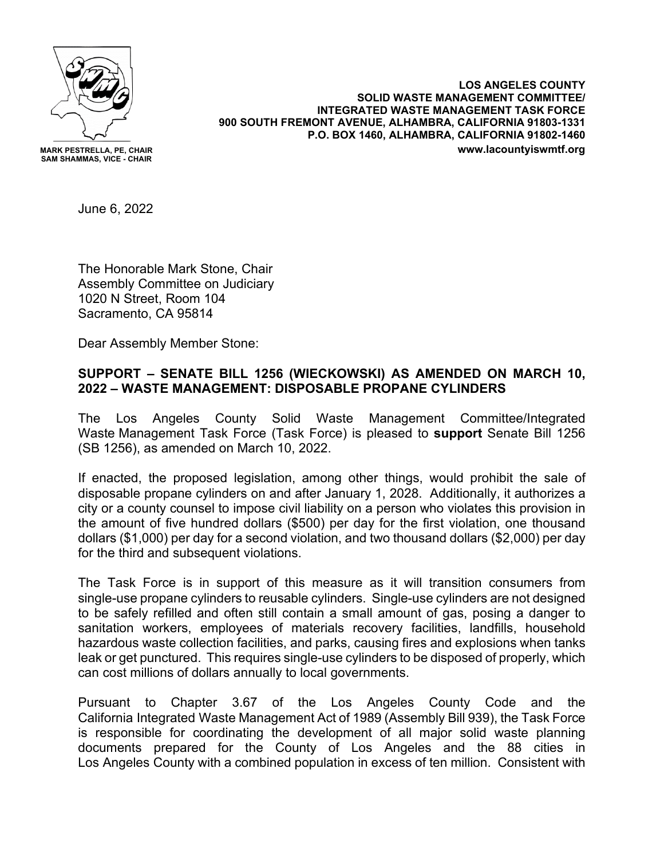

**MARK PESTRELLA, PE, CHAIR SAM SHAMMAS, VICE - CHAIR**

**LOS ANGELES COUNTY SOLID WASTE MANAGEMENT COMMITTEE/ INTEGRATED WASTE MANAGEMENT TASK FORCE 900 SOUTH FREMONT AVENUE, ALHAMBRA, CALIFORNIA 91803-1331 P.O. BOX 1460, ALHAMBRA, CALIFORNIA 91802-1460 www.lacountyiswmtf.org**

June 6, 2022

The Honorable Mark Stone, Chair Assembly Committee on Judiciary 1020 N Street, Room 104 Sacramento, CA 95814

Dear Assembly Member Stone:

## **SUPPORT – SENATE BILL 1256 (WIECKOWSKI) AS AMENDED ON MARCH 10, 2022 – WASTE MANAGEMENT: DISPOSABLE PROPANE CYLINDERS**

The Los Angeles County Solid Waste Management Committee/Integrated Waste Management Task Force (Task Force) is pleased to **support** Senate Bill 1256 (SB 1256), as amended on March 10, 2022.

If enacted, the proposed legislation, among other things, would prohibit the sale of disposable propane cylinders on and after January 1, 2028. Additionally, it authorizes a city or a county counsel to impose civil liability on a person who violates this provision in the amount of five hundred dollars (\$500) per day for the first violation, one thousand dollars (\$1,000) per day for a second violation, and two thousand dollars (\$2,000) per day for the third and subsequent violations.

The Task Force is in support of this measure as it will transition consumers from single-use propane cylinders to reusable cylinders. Single-use cylinders are not designed to be safely refilled and often still contain a small amount of gas, posing a danger to sanitation workers, employees of materials recovery facilities, landfills, household hazardous waste collection facilities, and parks, causing fires and explosions when tanks leak or get punctured. This requires single-use cylinders to be disposed of properly, which can cost millions of dollars annually to local governments.

Pursuant to Chapter 3.67 of the Los Angeles County Code and the California Integrated Waste Management Act of 1989 (Assembly Bill 939), the Task Force is responsible for coordinating the development of all major solid waste planning documents prepared for the County of Los Angeles and the 88 cities in Los Angeles County with a combined population in excess of ten million. Consistent with